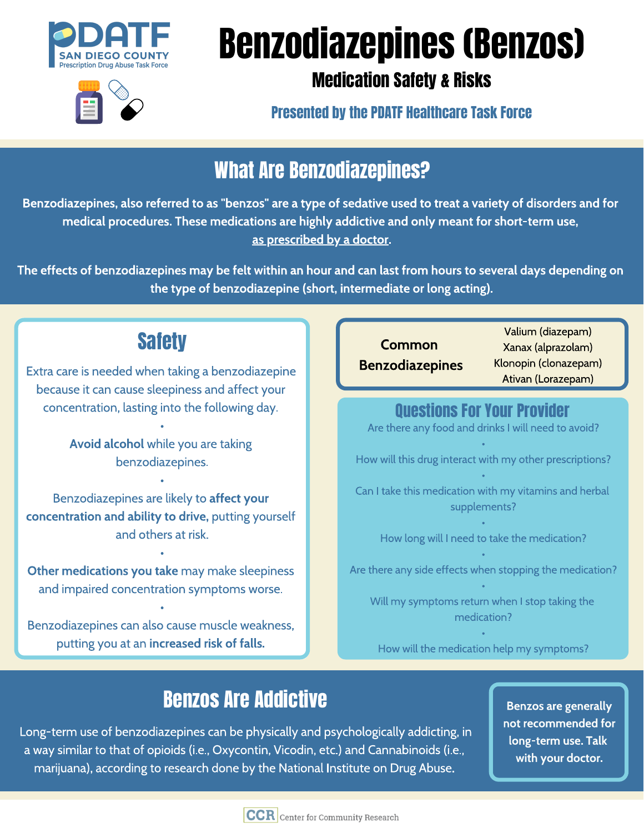

# Benzodiazepines (Benzos)



Medication Safety & Risks

Presented by the PDATF Healthcare Task Force

## What Are Benzodiazepines?

Benzodiazepines, also referred to as "benzos" are a type of sedative used to treat a variety of disorders and for medical procedures. These medications are highly addictive and only meant for short-term use, as prescribed by a doctor.

The effects of benzodiazepines may be felt within an hour and can last from hours to several days depending on the type of benzodiazepine (short, intermediate or long acting).

## **Safety**

Extra care is needed when taking a benzodiazepine because it can cause sleepiness and affect your concentration, lasting into the following day.

> Avoid alcohol while you are taking benzodiazepines.

Benzodiazepines are likely to affect your concentration and ability to drive, putting yourself and others at risk.

Other medications you take may make sleepiness and impaired concentration symptoms worse.

Benzodiazepines can also cause muscle weakness, putting you at an increased risk of falls.

Common  $\bullet$  . . . . . . . . . Benzodiazepines

Valium (diazepam) Xanax (alprazolam) Klonopin (clonazepam) Ativan (Lorazepam)

#### Questions For Your Provider

Are there any food and drinks I will need to avoid?

How will this drug interact with my other prescriptions?

Can I take this medication with my vitamins and herbal supplements?

How long will I need to take the medication?

Are there any side effects when stopping the medication?

Will my symptoms return when I stop taking the medication?

How will the medication help my symptoms?

# Benzos Are Addictive

 Long-term use of benzodiazepines can be physically and psychologically addicting, in a way similar to that of opioids (i.e., Oxycontin, Vicodin, etc.) and Cannabinoids (i.e., marijuana), according to research done by the National Institute on Drug Abuse.

Benzos are generally not recommended for long-term use. Talk with your doctor.